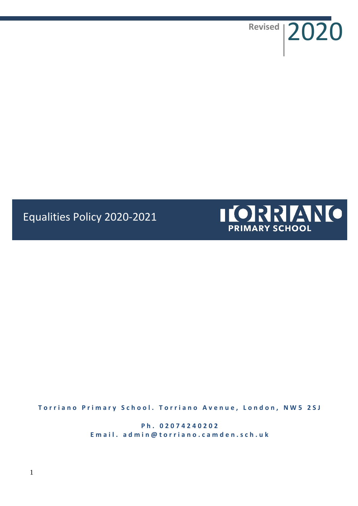Revised 2020

# Equalities Policy 2020-2021



**Torriano Primary School. Torriano Avenue, London, NW5 2SJ** 

**P h . 0 2 0 7 4 2 4 0 2 0 2** Email. admin@torriano.camden.sch.uk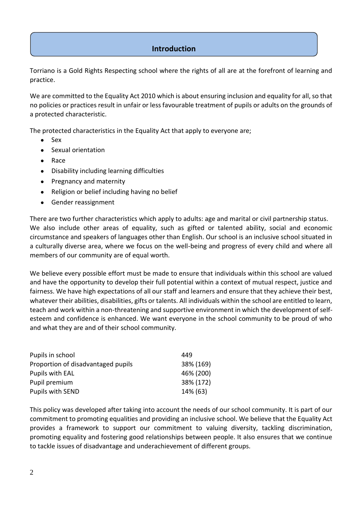# **Introduction**

Torriano is a Gold Rights Respecting school where the rights of all are at the forefront of learning and practice.

We are committed to the Equality Act 2010 which is about ensuring inclusion and equality for all, so that no policies or practices result in unfair or less favourable treatment of pupils or adults on the grounds of a protected characteristic.

The protected characteristics in the Equality Act that apply to everyone are;

- Sex
- Sexual orientation
- Race
- Disability including learning difficulties
- Pregnancy and maternity
- Religion or belief including having no belief
- Gender reassignment

There are two further characteristics which apply to adults: age and marital or civil partnership status. We also include other areas of equality, such as gifted or talented ability, social and economic circumstance and speakers of languages other than English. Our school is an inclusive school situated in a culturally diverse area, where we focus on the well-being and progress of every child and where all members of our community are of equal worth.

We believe every possible effort must be made to ensure that individuals within this school are valued and have the opportunity to develop their full potential within a context of mutual respect, justice and fairness. We have high expectations of all our staff and learners and ensure that they achieve their best, whatever their abilities, disabilities, gifts or talents. All individuals within the school are entitled to learn, teach and work within a non-threatening and supportive environment in which the development of selfesteem and confidence is enhanced. We want everyone in the school community to be proud of who and what they are and of their school community.

| Pupils in school                   | 449       |
|------------------------------------|-----------|
| Proportion of disadvantaged pupils | 38% (169) |
| Pupils with EAL                    | 46% (200) |
| Pupil premium                      | 38% (172) |
| Pupils with SEND                   | 14% (63)  |

This policy was developed after taking into account the needs of our school community. It is part of our commitment to promoting equalities and providing an inclusive school. We believe that the Equality Act provides a framework to support our commitment to valuing diversity, tackling discrimination, promoting equality and fostering good relationships between people. It also ensures that we continue to tackle issues of disadvantage and underachievement of different groups.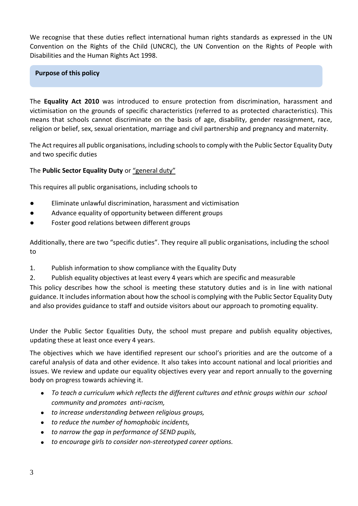We recognise that these duties reflect international human rights standards as expressed in the UN Convention on the Rights of the Child (UNCRC), the UN Convention on the Rights of People with Disabilities and the Human Rights Act 1998.

# **Purpose of this policy**

The **Equality Act 2010** was introduced to ensure protection from discrimination, harassment and victimisation on the grounds of specific characteristics (referred to as protected characteristics). This means that schools cannot discriminate on the basis of age, disability, gender reassignment, race, religion or belief, sex, sexual orientation, marriage and civil partnership and pregnancy and maternity.

The Act requires all public organisations, including schools to comply with the Public Sector Equality Duty and two specific duties

# The **Public Sector Equality Duty** or "general duty"

This requires all public organisations, including schools to

- Eliminate unlawful discrimination, harassment and victimisation
- Advance equality of opportunity between different groups
- Foster good relations between different groups

Additionally, there are two "specific duties". They require all public organisations, including the school to

- 1. Publish information to show compliance with the Equality Duty
- 2. Publish equality objectives at least every 4 years which are specific and measurable

This policy describes how the school is meeting these statutory duties and is in line with national guidance. It includes information about how the school is complying with the Public Sector Equality Duty and also provides guidance to staff and outside visitors about our approach to promoting equality.

Under the Public Sector Equalities Duty, the school must prepare and publish equality objectives, updating these at least once every 4 years.

The objectives which we have identified represent our school's priorities and are the outcome of a careful analysis of data and other evidence. It also takes into account national and local priorities and issues. We review and update our equality objectives every year and report annually to the governing body on progress towards achieving it.

- *To teach a curriculum which reflects the different cultures and ethnic groups within our school community and promotes anti-racism,*
- *to increase understanding between religious groups,*
- *to reduce the number of homophobic incidents,*
- *to narrow the gap in performance of SEND pupils,*
- *to encourage girls to consider non-stereotyped career options.*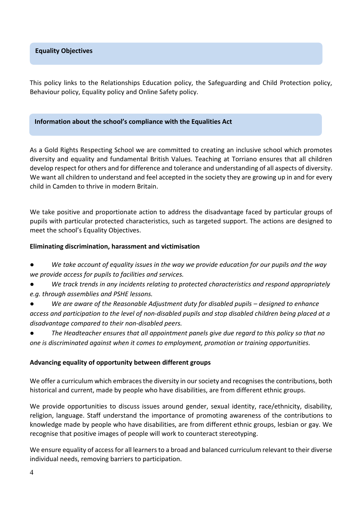This policy links to the Relationships Education policy, the Safeguarding and Child Protection policy, Behaviour policy, Equality policy and Online Safety policy.

#### **Information about the school's compliance with the Equalities Act**

As a Gold Rights Respecting School we are committed to creating an inclusive school which promotes diversity and equality and fundamental British Values. Teaching at Torriano ensures that all children develop respect for others and for difference and tolerance and understanding of all aspects of diversity. We want all children to understand and feel accepted in the society they are growing up in and for every child in Camden to thrive in modern Britain.

We take positive and proportionate action to address the disadvantage faced by particular groups of pupils with particular protected characteristics, such as targeted support. The actions are designed to meet the school's Equality Objectives.

#### **Eliminating discrimination, harassment and victimisation**

- We take account of equality issues in the way we provide education for our pupils and the way *we provide access for pupils to facilities and services.*
- We track trends in any incidents relating to protected characteristics and respond appropriately *e.g. through assemblies and PSHE lessons.*
- *We are aware of the Reasonable Adjustment duty for disabled pupils – designed to enhance access and participation to the level of non‐disabled pupils and stop disabled children being placed at a disadvantage compared to their non‐disabled peers.*

● *The Headteacher ensures that all appointment panels give due regard to this policy so that no one is discriminated against when it comes to employment, promotion or training opportunities.* 

#### **Advancing equality of opportunity between different groups**

We offer a curriculum which embraces the diversity in our society and recognises the contributions, both historical and current, made by people who have disabilities, are from different ethnic groups.

We provide opportunities to discuss issues around gender, sexual identity, race/ethnicity, disability, religion, language. Staff understand the importance of promoting awareness of the contributions to knowledge made by people who have disabilities, are from different ethnic groups, lesbian or gay. We recognise that positive images of people will work to counteract stereotyping.

We ensure equality of access for all learners to a broad and balanced curriculum relevant to their diverse individual needs, removing barriers to participation.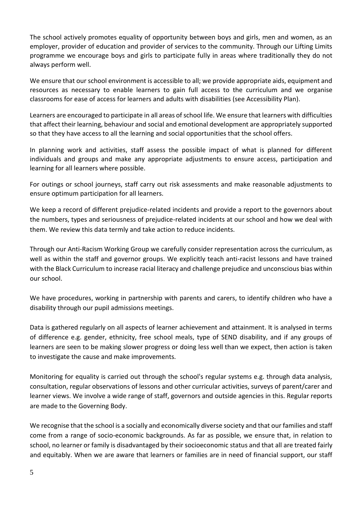The school actively promotes equality of opportunity between boys and girls, men and women, as an employer, provider of education and provider of services to the community. Through our Lifting Limits programme we encourage boys and girls to participate fully in areas where traditionally they do not always perform well.

We ensure that our school environment is accessible to all; we provide appropriate aids, equipment and resources as necessary to enable learners to gain full access to the curriculum and we organise classrooms for ease of access for learners and adults with disabilities (see Accessibility Plan).

Learners are encouraged to participate in all areas of school life. We ensure that learners with difficulties that affect their learning, behaviour and social and emotional development are appropriately supported so that they have access to all the learning and social opportunities that the school offers.

In planning work and activities, staff assess the possible impact of what is planned for different individuals and groups and make any appropriate adjustments to ensure access, participation and learning for all learners where possible.

For outings or school journeys, staff carry out risk assessments and make reasonable adjustments to ensure optimum participation for all learners.

We keep a record of different prejudice-related incidents and provide a report to the governors about the numbers, types and seriousness of prejudice-related incidents at our school and how we deal with them. We review this data termly and take action to reduce incidents.

Through our Anti-Racism Working Group we carefully consider representation across the curriculum, as well as within the staff and governor groups. We explicitly teach anti-racist lessons and have trained with the Black Curriculum to increase racial literacy and challenge prejudice and unconscious bias within our school.

We have procedures, working in partnership with parents and carers, to identify children who have a disability through our pupil admissions meetings.

Data is gathered regularly on all aspects of learner achievement and attainment. It is analysed in terms of difference e.g. gender, ethnicity, free school meals, type of SEND disability, and if any groups of learners are seen to be making slower progress or doing less well than we expect, then action is taken to investigate the cause and make improvements.

Monitoring for equality is carried out through the school's regular systems e.g. through data analysis, consultation, regular observations of lessons and other curricular activities, surveys of parent/carer and learner views. We involve a wide range of staff, governors and outside agencies in this. Regular reports are made to the Governing Body.

We recognise that the school is a socially and economically diverse society and that our families and staff come from a range of socio-economic backgrounds. As far as possible, we ensure that, in relation to school, no learner or family is disadvantaged by their socioeconomic status and that all are treated fairly and equitably. When we are aware that learners or families are in need of financial support, our staff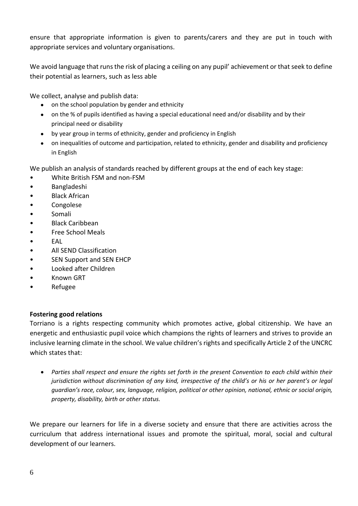ensure that appropriate information is given to parents/carers and they are put in touch with appropriate services and voluntary organisations.

We avoid language that runs the risk of placing a ceiling on any pupil' achievement or that seek to define their potential as learners, such as less able

We collect, analyse and publish data:

- on the school population by gender and ethnicity
- on the % of pupils identified as having a special educational need and/or disability and by their principal need or disability
- by year group in terms of ethnicity, gender and proficiency in English
- on inequalities of outcome and participation, related to ethnicity, gender and disability and proficiency in English

We publish an analysis of standards reached by different groups at the end of each key stage:

- White British FSM and non-FSM
- Bangladeshi
- **Black African**
- Congolese
- Somali
- Black Caribbean
- Free School Meals
- EAL
- All SEND Classification
- SEN Support and SEN EHCP
- Looked after Children
- Known GRT
- Refugee

# **Fostering good relations**

Torriano is a rights respecting community which promotes active, global citizenship. We have an energetic and enthusiastic pupil voice which champions the rights of learners and strives to provide an inclusive learning climate in the school. We value children's rights and specifically Article 2 of the UNCRC which states that:

 *Parties shall respect and ensure the rights set forth in the present Convention to each child within their jurisdiction without discrimination of any kind, irrespective of the child's or his or her parent's or legal guardian's race, colour, sex, language, religion, political or other opinion, national, ethnic or social origin, property, disability, birth or other status.*

We prepare our learners for life in a diverse society and ensure that there are activities across the curriculum that address international issues and promote the spiritual, moral, social and cultural development of our learners.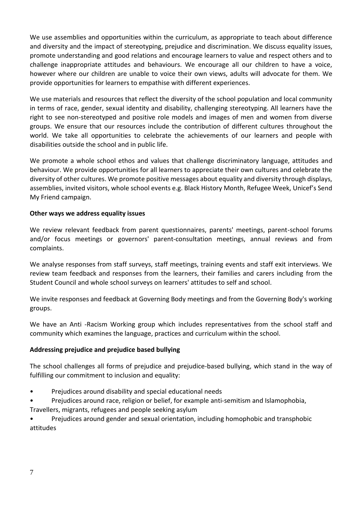We use assemblies and opportunities within the curriculum, as appropriate to teach about difference and diversity and the impact of stereotyping, prejudice and discrimination. We discuss equality issues, promote understanding and good relations and encourage learners to value and respect others and to challenge inappropriate attitudes and behaviours. We encourage all our children to have a voice, however where our children are unable to voice their own views, adults will advocate for them. We provide opportunities for learners to empathise with different experiences.

We use materials and resources that reflect the diversity of the school population and local community in terms of race, gender, sexual identity and disability, challenging stereotyping. All learners have the right to see non-stereotyped and positive role models and images of men and women from diverse groups. We ensure that our resources include the contribution of different cultures throughout the world. We take all opportunities to celebrate the achievements of our learners and people with disabilities outside the school and in public life.

We promote a whole school ethos and values that challenge discriminatory language, attitudes and behaviour. We provide opportunities for all learners to appreciate their own cultures and celebrate the diversity of other cultures. We promote positive messages about equality and diversity through displays, assemblies, invited visitors, whole school events e.g. Black History Month, Refugee Week, Unicef's Send My Friend campaign.

## **Other ways we address equality issues**

We review relevant feedback from parent questionnaires, parents' meetings, parent-school forums and/or focus meetings or governors' parent-consultation meetings, annual reviews and from complaints.

We analyse responses from staff surveys, staff meetings, training events and staff exit interviews. We review team feedback and responses from the learners, their families and carers including from the Student Council and whole school surveys on learners' attitudes to self and school.

We invite responses and feedback at Governing Body meetings and from the Governing Body's working groups.

We have an Anti -Racism Working group which includes representatives from the school staff and community which examines the language, practices and curriculum within the school.

# **Addressing prejudice and prejudice based bullying**

The school challenges all forms of prejudice and prejudice‐based bullying, which stand in the way of fulfilling our commitment to inclusion and equality:

- Prejudices around disability and special educational needs
- Prejudices around race, religion or belief, for example anti‐semitism and Islamophobia,
- Travellers, migrants, refugees and people seeking asylum

• Prejudices around gender and sexual orientation, including homophobic and transphobic attitudes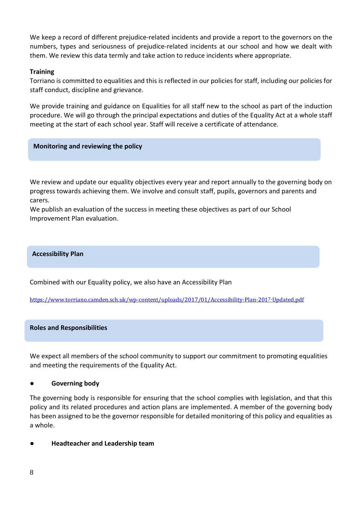We keep a record of different prejudice-related incidents and provide a report to the governors on the numbers, types and seriousness of prejudice-related incidents at our school and how we dealt with them. We review this data termly and take action to reduce incidents where appropriate.

## **Training**

Torriano is committed to equalities and this is reflected in our policies for staff, including our policies for staff conduct, discipline and grievance.

We provide training and guidance on Equalities for all staff new to the school as part of the induction procedure. We will go through the principal expectations and duties of the Equality Act at a whole staff meeting at the start of each school year. Staff will receive a certificate of attendance.

#### **Monitoring and reviewing the policy**

We review and update our equality objectives every year and report annually to the governing body on progress towards achieving them. We involve and consult staff, pupils, governors and parents and carers.

We publish an evaluation of the success in meeting these objectives as part of our School Improvement Plan evaluation.

#### **Accessibility Plan**

Combined with our Equality policy, we also have an Accessibility Plan

[https://www.torriano.camden.sch.uk/wp-content/uploads/2017/01/Accessibility-Plan-201](https://www.torriano.camden.sch.uk/wp-content/uploads/2017/01/Accessibility-Plan-2017-Updated.pdf)[7-](https://www.torriano.camden.sch.uk/wp-content/uploads/2017/01/Accessibility-Plan-2017-Updated.pdf)[Updated.pdf](https://www.torriano.camden.sch.uk/wp-content/uploads/2017/01/Accessibility-Plan-2017-Updated.pdf)

#### **Roles and Responsibilities**

We expect all members of the school community to support our commitment to promoting equalities and meeting the requirements of the Equality Act.

#### ● **Governing body**

The governing body is responsible for ensuring that the school complies with legislation, and that this policy and its related procedures and action plans are implemented. A member of the governing body has been assigned to be the governor responsible for detailed monitoring of this policy and equalities as a whole.

#### **Headteacher and Leadership team**